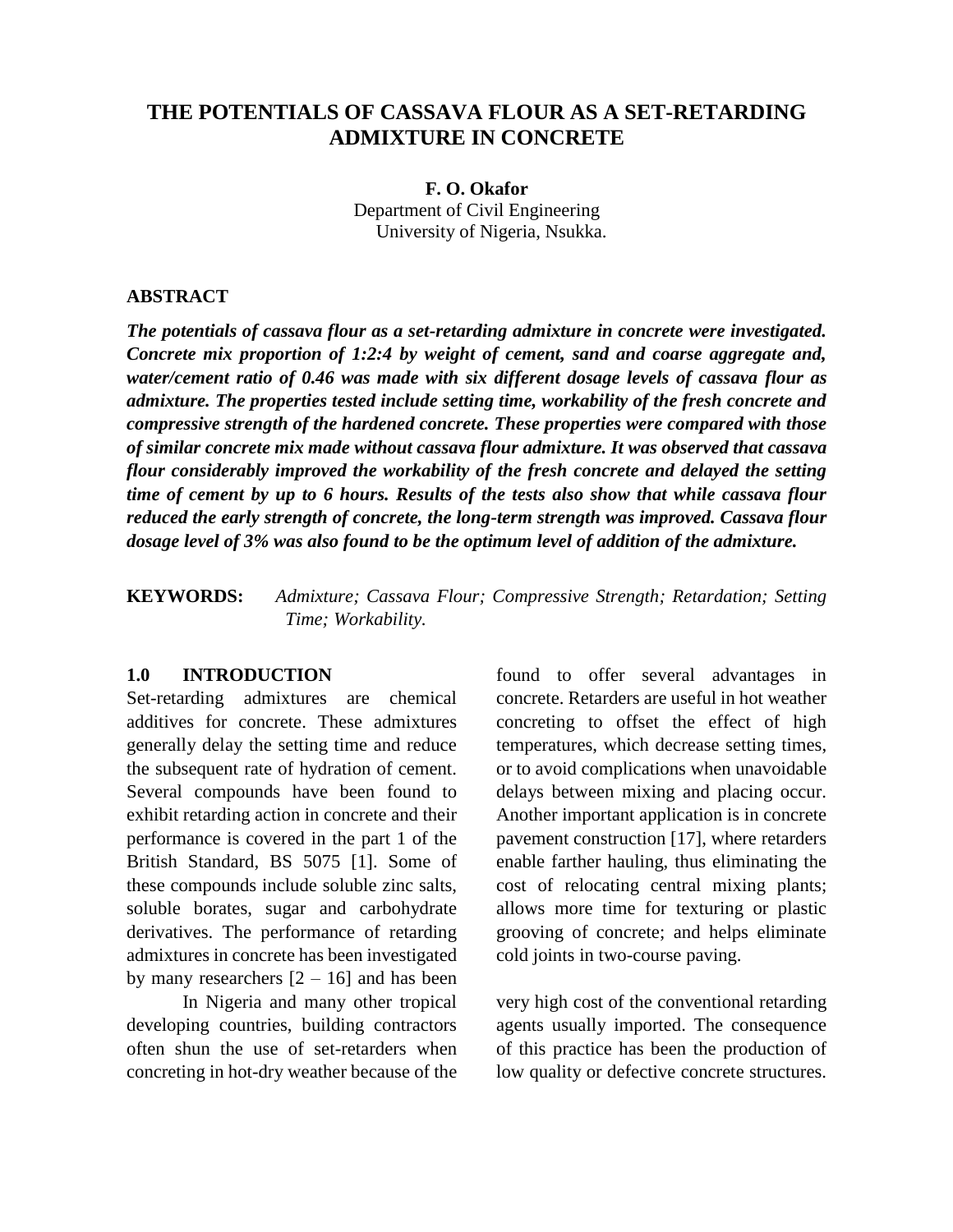# **THE POTENTIALS OF CASSAVA FLOUR AS A SET-RETARDING ADMIXTURE IN CONCRETE**

**F. O. Okafor** Department of Civil Engineering University of Nigeria, Nsukka.

### **ABSTRACT**

*The potentials of cassava flour as a set-retarding admixture in concrete were investigated. Concrete mix proportion of 1:2:4 by weight of cement, sand and coarse aggregate and, water/cement ratio of 0.46 was made with six different dosage levels of cassava flour as admixture. The properties tested include setting time, workability of the fresh concrete and compressive strength of the hardened concrete. These properties were compared with those of similar concrete mix made without cassava flour admixture. It was observed that cassava flour considerably improved the workability of the fresh concrete and delayed the setting time of cement by up to 6 hours. Results of the tests also show that while cassava flour reduced the early strength of concrete, the long-term strength was improved. Cassava flour dosage level of 3% was also found to be the optimum level of addition of the admixture.* 

**KEYWORDS:** *Admixture; Cassava Flour; Compressive Strength; Retardation; Setting Time; Workability.*

### **1.0 INTRODUCTION**

Set-retarding admixtures are chemical additives for concrete. These admixtures generally delay the setting time and reduce the subsequent rate of hydration of cement. Several compounds have been found to exhibit retarding action in concrete and their performance is covered in the part 1 of the British Standard, BS 5075 [1]. Some of these compounds include soluble zinc salts, soluble borates, sugar and carbohydrate derivatives. The performance of retarding admixtures in concrete has been investigated by many researchers  $[2 - 16]$  and has been

In Nigeria and many other tropical developing countries, building contractors often shun the use of set-retarders when concreting in hot-dry weather because of the found to offer several advantages in concrete. Retarders are useful in hot weather concreting to offset the effect of high temperatures, which decrease setting times, or to avoid complications when unavoidable delays between mixing and placing occur. Another important application is in concrete pavement construction [17], where retarders enable farther hauling, thus eliminating the cost of relocating central mixing plants; allows more time for texturing or plastic grooving of concrete; and helps eliminate cold joints in two-course paving.

very high cost of the conventional retarding agents usually imported. The consequence of this practice has been the production of low quality or defective concrete structures.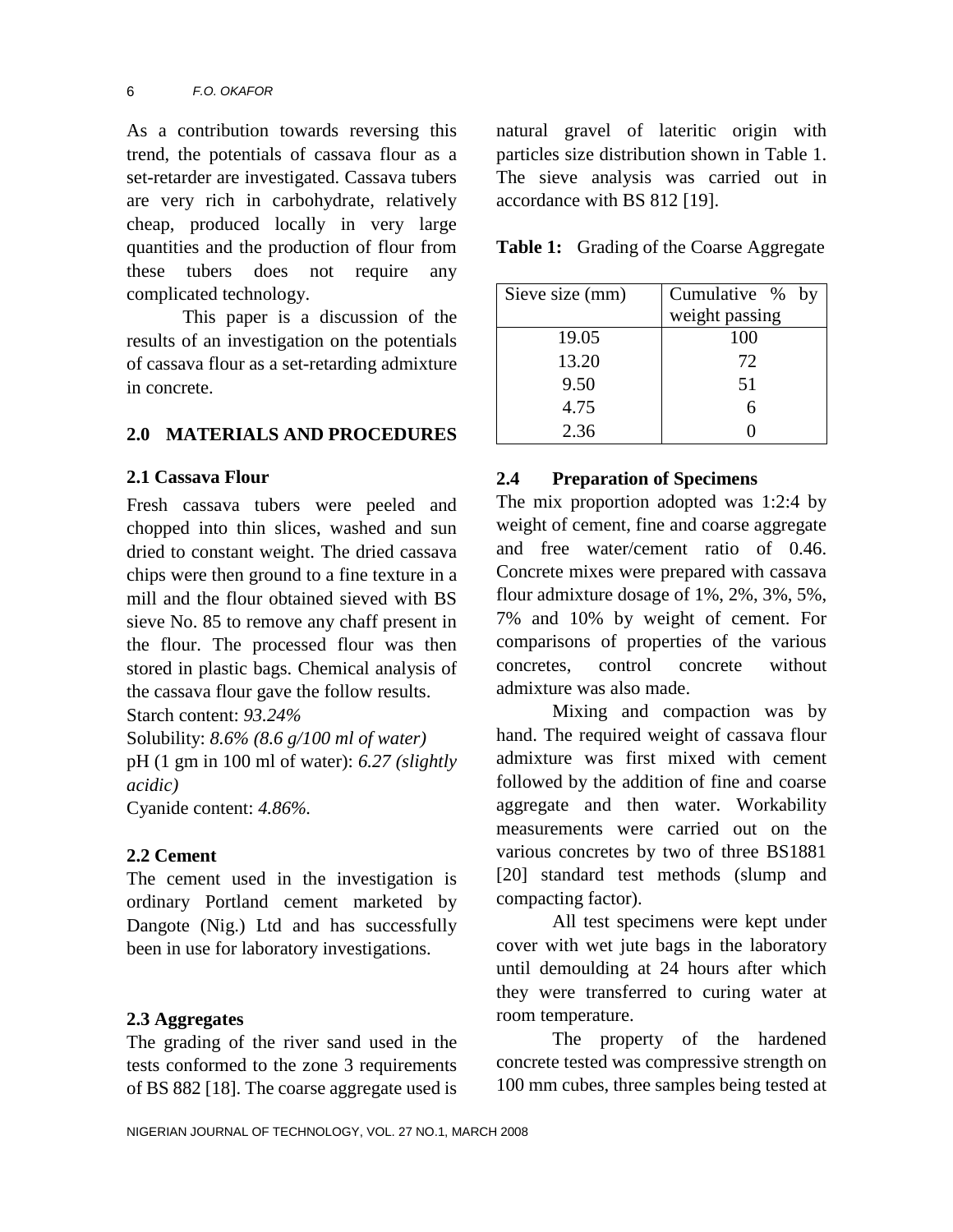As a contribution towards reversing this trend, the potentials of cassava flour as a set-retarder are investigated. Cassava tubers are very rich in carbohydrate, relatively cheap, produced locally in very large quantities and the production of flour from these tubers does not require any complicated technology.

This paper is a discussion of the results of an investigation on the potentials of cassava flour as a set-retarding admixture in concrete.

### **2.0 MATERIALS AND PROCEDURES**

### **2.1 Cassava Flour**

Fresh cassava tubers were peeled and chopped into thin slices, washed and sun dried to constant weight. The dried cassava chips were then ground to a fine texture in a mill and the flour obtained sieved with BS sieve No. 85 to remove any chaff present in the flour. The processed flour was then stored in plastic bags. Chemical analysis of the cassava flour gave the follow results.

Starch content: *93.24%*

Solubility: *8.6% (8.6 g/100 ml of water)* pH (1 gm in 100 ml of water): *6.27 (slightly acidic)*

Cyanide content: *4.86%.*

### **2.2 Cement**

The cement used in the investigation is ordinary Portland cement marketed by Dangote (Nig.) Ltd and has successfully been in use for laboratory investigations.

### **2.3 Aggregates**

The grading of the river sand used in the tests conformed to the zone 3 requirements of BS 882 [18]. The coarse aggregate used is natural gravel of lateritic origin with particles size distribution shown in Table 1. The sieve analysis was carried out in accordance with BS 812 [19].

**Table 1:** Grading of the Coarse Aggregate

| Sieve size (mm) | Cumulative %<br>by |  |  |  |  |
|-----------------|--------------------|--|--|--|--|
|                 | weight passing     |  |  |  |  |
| 19.05           | 100                |  |  |  |  |
| 13.20           | 72                 |  |  |  |  |
| 9.50            | 51                 |  |  |  |  |
| 4.75            |                    |  |  |  |  |
| 2.36            |                    |  |  |  |  |

## **2.4 Preparation of Specimens**

The mix proportion adopted was 1:2:4 by weight of cement, fine and coarse aggregate and free water/cement ratio of 0.46. Concrete mixes were prepared with cassava flour admixture dosage of 1%, 2%, 3%, 5%, 7% and 10% by weight of cement. For comparisons of properties of the various concretes, control concrete without admixture was also made.

Mixing and compaction was by hand. The required weight of cassava flour admixture was first mixed with cement followed by the addition of fine and coarse aggregate and then water. Workability measurements were carried out on the various concretes by two of three BS1881 [20] standard test methods (slump and compacting factor).

All test specimens were kept under cover with wet jute bags in the laboratory until demoulding at 24 hours after which they were transferred to curing water at room temperature.

The property of the hardened concrete tested was compressive strength on 100 mm cubes, three samples being tested at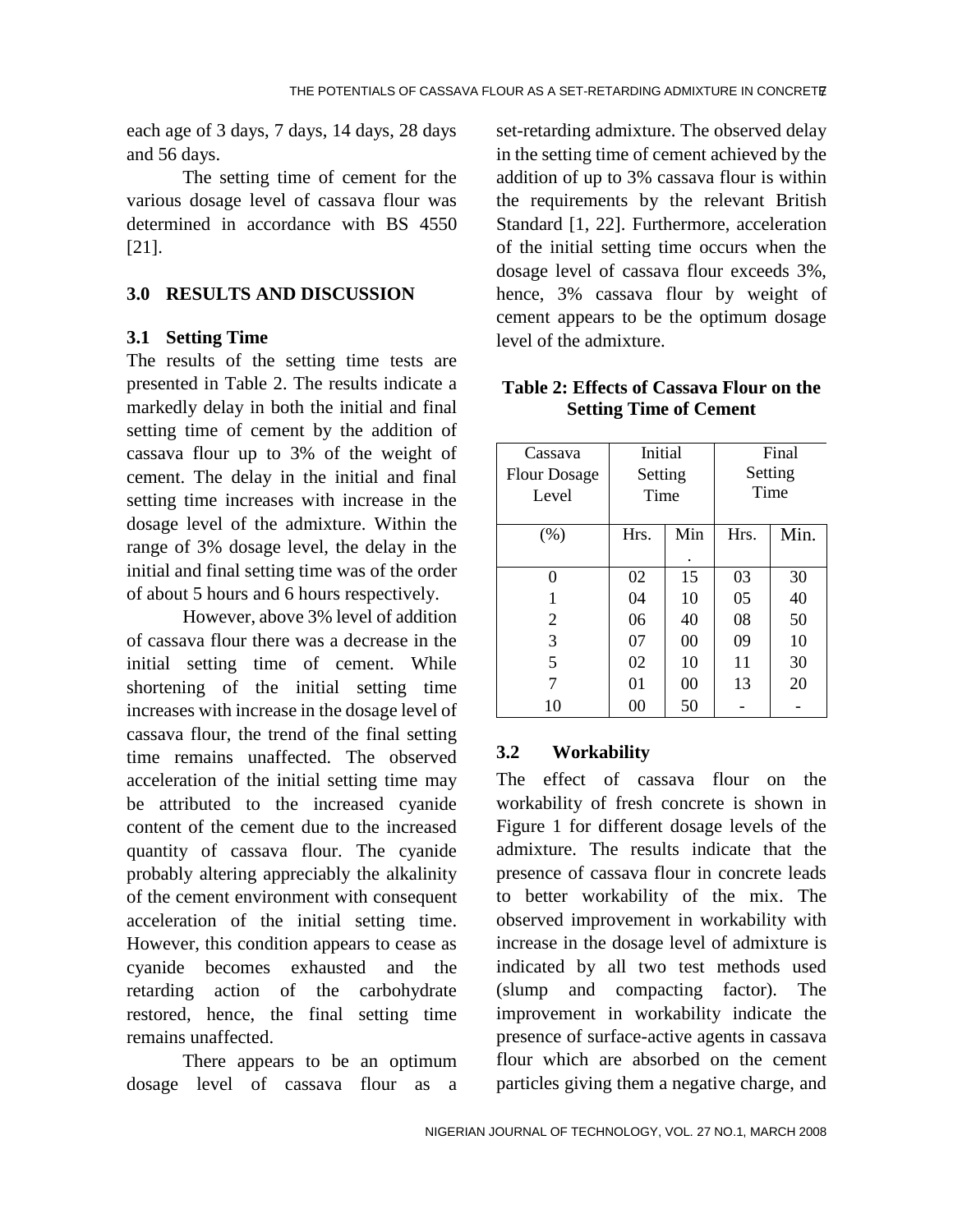each age of 3 days, 7 days, 14 days, 28 days and 56 days.

The setting time of cement for the various dosage level of cassava flour was determined in accordance with BS 4550 [21].

# **3.0 RESULTS AND DISCUSSION**

# **3.1 Setting Time**

The results of the setting time tests are presented in Table 2. The results indicate a markedly delay in both the initial and final setting time of cement by the addition of cassava flour up to 3% of the weight of cement. The delay in the initial and final setting time increases with increase in the dosage level of the admixture. Within the range of 3% dosage level, the delay in the initial and final setting time was of the order of about 5 hours and 6 hours respectively.

However, above 3% level of addition of cassava flour there was a decrease in the initial setting time of cement. While shortening of the initial setting time increases with increase in the dosage level of cassava flour, the trend of the final setting time remains unaffected. The observed acceleration of the initial setting time may be attributed to the increased cyanide content of the cement due to the increased quantity of cassava flour. The cyanide probably altering appreciably the alkalinity of the cement environment with consequent acceleration of the initial setting time. However, this condition appears to cease as cyanide becomes exhausted and the retarding action of the carbohydrate restored, hence, the final setting time remains unaffected.

There appears to be an optimum dosage level of cassava flour as a set-retarding admixture. The observed delay in the setting time of cement achieved by the addition of up to 3% cassava flour is within the requirements by the relevant British Standard [1, 22]. Furthermore, acceleration of the initial setting time occurs when the dosage level of cassava flour exceeds 3%, hence, 3% cassava flour by weight of cement appears to be the optimum dosage level of the admixture.

| Cassava<br><b>Flour Dosage</b><br>Level | Initial<br>Setting<br>Time |     | Final<br>Setting<br>Time |      |  |
|-----------------------------------------|----------------------------|-----|--------------------------|------|--|
| (%)                                     | Hrs.                       | Min | Hrs.                     | Min. |  |
| $\Omega$                                | 02                         | 15  | 03                       | 30   |  |
|                                         |                            |     |                          |      |  |
| 1                                       | 04                         | 10  | 05                       | 40   |  |
| 2                                       | 06                         | 40  | 08                       | 50   |  |
| 3                                       | 07                         | 00  | 09                       | 10   |  |
| 5                                       | 02                         | 10  | 11                       | 30   |  |
| 7                                       | 01                         | 00  | 13                       | 20   |  |
| 10                                      | 00                         | 50  |                          |      |  |

# **Table 2: Effects of Cassava Flour on the Setting Time of Cement**

# **3.2 Workability**

The effect of cassava flour on the workability of fresh concrete is shown in Figure 1 for different dosage levels of the admixture. The results indicate that the presence of cassava flour in concrete leads to better workability of the mix. The observed improvement in workability with increase in the dosage level of admixture is indicated by all two test methods used (slump and compacting factor). The improvement in workability indicate the presence of surface-active agents in cassava flour which are absorbed on the cement particles giving them a negative charge, and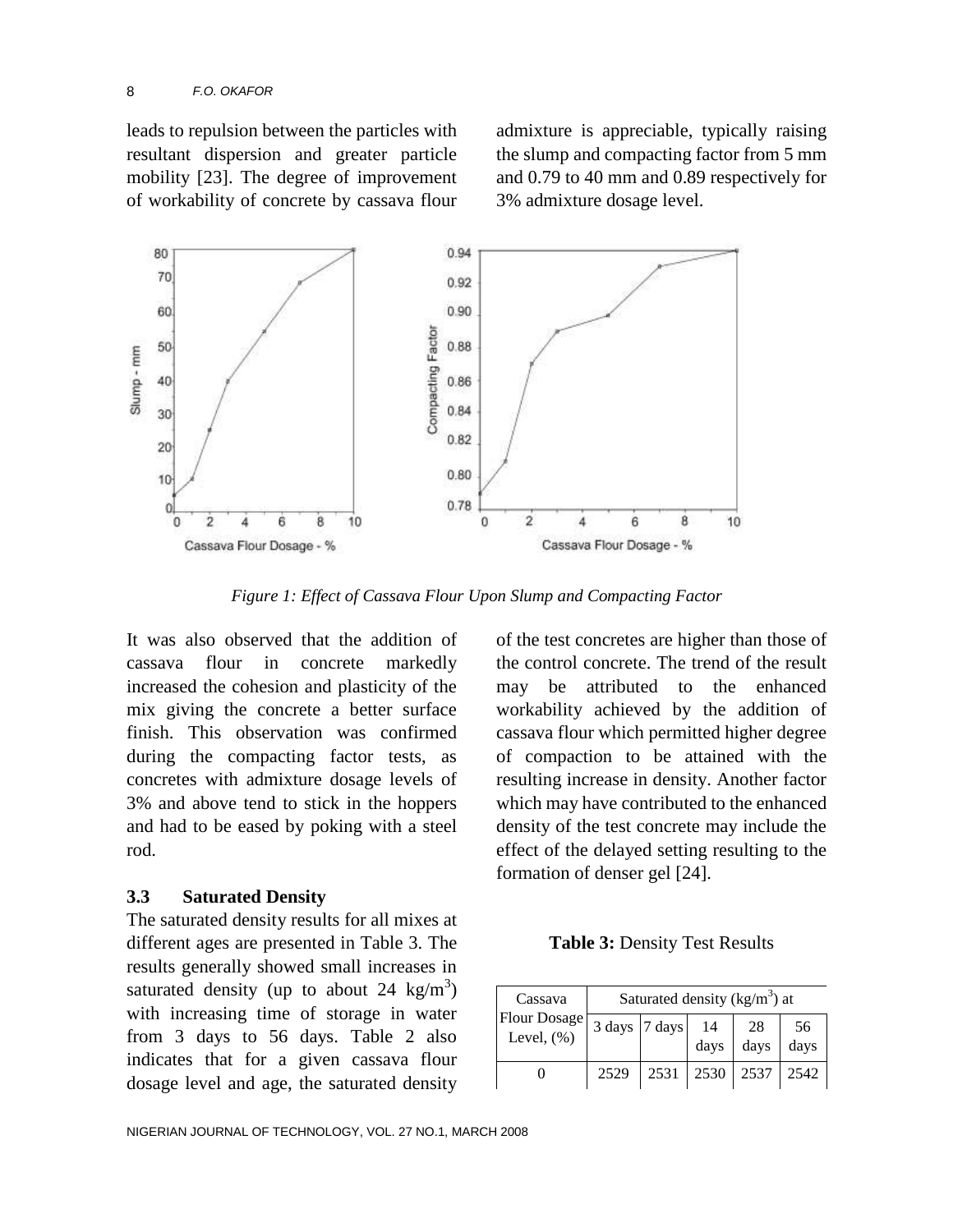leads to repulsion between the particles with resultant dispersion and greater particle mobility [23]. The degree of improvement of workability of concrete by cassava flour

admixture is appreciable, typically raising the slump and compacting factor from 5 mm and 0.79 to 40 mm and 0.89 respectively for 3% admixture dosage level.



*Figure 1: Effect of Cassava Flour Upon Slump and Compacting Factor*

It was also observed that the addition of cassava flour in concrete markedly increased the cohesion and plasticity of the mix giving the concrete a better surface finish. This observation was confirmed during the compacting factor tests, as concretes with admixture dosage levels of 3% and above tend to stick in the hoppers and had to be eased by poking with a steel rod.

#### **3.3 Saturated Density**

The saturated density results for all mixes at different ages are presented in Table 3. The results generally showed small increases in saturated density (up to about 24 kg/m<sup>3</sup>) with increasing time of storage in water from 3 days to 56 days. Table 2 also indicates that for a given cassava flour dosage level and age, the saturated density

of the test concretes are higher than those of the control concrete. The trend of the result may be attributed to the enhanced workability achieved by the addition of cassava flour which permitted higher degree of compaction to be attained with the resulting increase in density. Another factor which may have contributed to the enhanced density of the test concrete may include the effect of the delayed setting resulting to the formation of denser gel [24].

**Table 3:** Density Test Results

| Cassava                        |               | Saturated density ( $kg/m3$ ) at |            |            |            |
|--------------------------------|---------------|----------------------------------|------------|------------|------------|
| Flour Dosage<br>Level, $(\% )$ | 3 days 7 days |                                  | 14<br>days | 28<br>days | 56<br>days |
|                                |               |                                  |            |            |            |
|                                | 2529          | 2531                             | 2530       | 2537       | 2542       |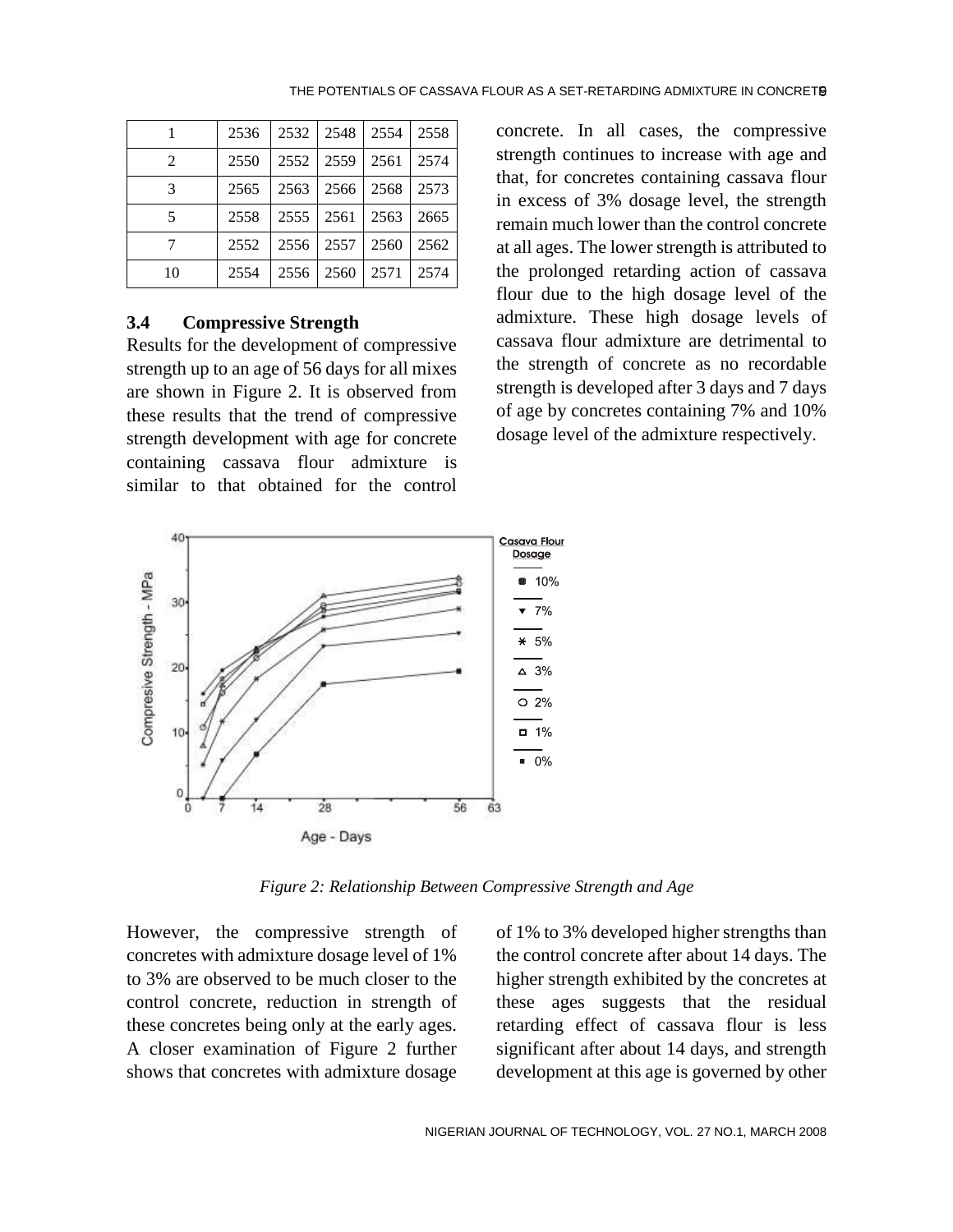|                | 2536 | 2532 | 2548 | 2554 | 2558 |
|----------------|------|------|------|------|------|
| $\mathfrak{D}$ | 2550 | 2552 | 2559 | 2561 | 2574 |
| 3              | 2565 | 2563 | 2566 | 2568 | 2573 |
| 5              | 2558 | 2555 | 2561 | 2563 | 2665 |
|                | 2552 | 2556 | 2557 | 2560 | 2562 |
| 10             | 2554 | 2556 | 2560 | 2571 | 2574 |

#### **3.4 Compressive Strength**

Results for the development of compressive strength up to an age of 56 days for all mixes are shown in Figure 2. It is observed from these results that the trend of compressive strength development with age for concrete containing cassava flour admixture is similar to that obtained for the control concrete. In all cases, the compressive strength continues to increase with age and that, for concretes containing cassava flour in excess of 3% dosage level, the strength remain much lower than the control concrete at all ages. The lower strength is attributed to the prolonged retarding action of cassava flour due to the high dosage level of the admixture. These high dosage levels of cassava flour admixture are detrimental to the strength of concrete as no recordable strength is developed after 3 days and 7 days of age by concretes containing 7% and 10% dosage level of the admixture respectively.



*Figure 2: Relationship Between Compressive Strength and Age*

However, the compressive strength of concretes with admixture dosage level of 1% to 3% are observed to be much closer to the control concrete, reduction in strength of these concretes being only at the early ages. A closer examination of Figure 2 further shows that concretes with admixture dosage

of 1% to 3% developed higher strengths than the control concrete after about 14 days. The higher strength exhibited by the concretes at these ages suggests that the residual retarding effect of cassava flour is less significant after about 14 days, and strength development at this age is governed by other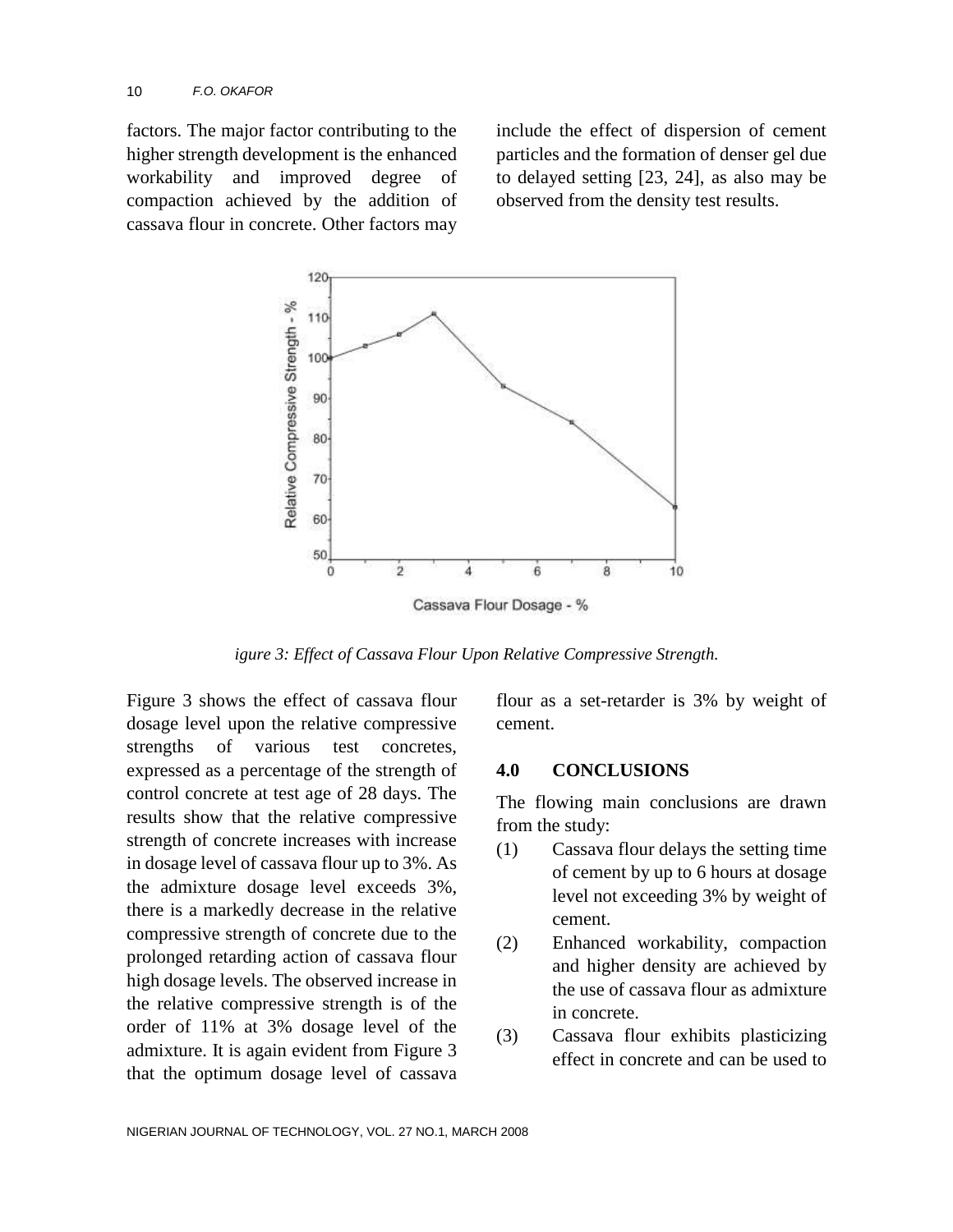factors. The major factor contributing to the higher strength development is the enhanced workability and improved degree of compaction achieved by the addition of cassava flour in concrete. Other factors may

include the effect of dispersion of cement particles and the formation of denser gel due to delayed setting [23, 24], as also may be observed from the density test results.



*igure 3: Effect of Cassava Flour Upon Relative Compressive Strength.*

Figure 3 shows the effect of cassava flour dosage level upon the relative compressive strengths of various test concretes, expressed as a percentage of the strength of control concrete at test age of 28 days. The results show that the relative compressive strength of concrete increases with increase in dosage level of cassava flour up to 3%. As the admixture dosage level exceeds 3%, there is a markedly decrease in the relative compressive strength of concrete due to the prolonged retarding action of cassava flour high dosage levels. The observed increase in the relative compressive strength is of the order of 11% at 3% dosage level of the admixture. It is again evident from Figure 3 that the optimum dosage level of cassava flour as a set-retarder is 3% by weight of cement.

#### **4.0 CONCLUSIONS**

The flowing main conclusions are drawn from the study:

- (1) Cassava flour delays the setting time of cement by up to 6 hours at dosage level not exceeding 3% by weight of cement.
- (2) Enhanced workability, compaction and higher density are achieved by the use of cassava flour as admixture in concrete.
- (3) Cassava flour exhibits plasticizing effect in concrete and can be used to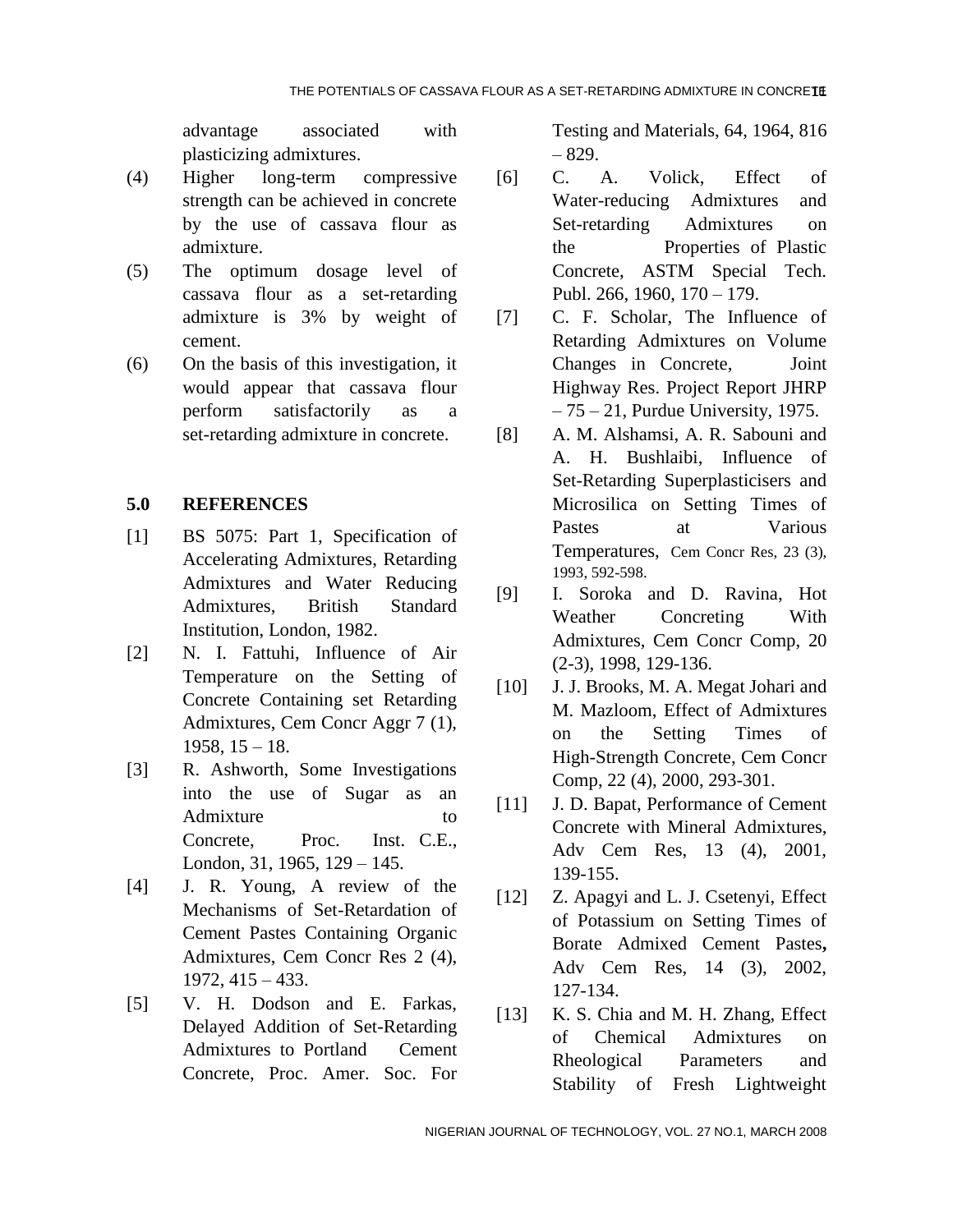advantage associated with plasticizing admixtures.

- (4) Higher long-term compressive strength can be achieved in concrete by the use of cassava flour as admixture.
- (5) The optimum dosage level of cassava flour as a set-retarding admixture is 3% by weight of cement.
- (6) On the basis of this investigation, it would appear that cassava flour perform satisfactorily as a set-retarding admixture in concrete.

### **5.0 REFERENCES**

- [1] BS 5075: Part 1, Specification of Accelerating Admixtures, Retarding Admixtures and Water Reducing Admixtures, British Standard Institution, London, 1982.
- [2] N. I. Fattuhi, Influence of Air Temperature on the Setting of Concrete Containing set Retarding Admixtures, Cem Concr Aggr 7 (1), 1958, 15 – 18.
- [3] R. Ashworth, Some Investigations into the use of Sugar as an Admixture to to Concrete, Proc. Inst. C.E., London, 31, 1965, 129 – 145.
- [4] J. R. Young, A review of the Mechanisms of Set-Retardation of Cement Pastes Containing Organic Admixtures, Cem Concr Res 2 (4), 1972, 415 – 433.
- [5] V. H. Dodson and E. Farkas, Delayed Addition of Set-Retarding Admixtures to Portland Cement Concrete, Proc. Amer. Soc. For

Testing and Materials, 64, 1964, 816 – 829.

- [6] C. A. Volick, Effect of Water-reducing Admixtures and Set-retarding Admixtures on the Properties of Plastic Concrete, ASTM Special Tech. Publ. 266, 1960, 170 – 179.
- [7] C. F. Scholar, The Influence of Retarding Admixtures on Volume Changes in Concrete, Joint Highway Res. Project Report JHRP  $-75 - 21$ , Purdue University, 1975.
- [8] A. M. Alshamsi, A. R. Sabouni and A. H. Bushlaibi, Influence of Set-Retarding Superplasticisers and Microsilica on Setting Times of Pastes at Various Temperatures, Cem Concr Res, 23 (3), 1993, 592-598.
- [9] I. Soroka and D. Ravina, Hot Weather Concreting With Admixtures, Cem Concr Comp, 20 (2-3), 1998, 129-136.
- [10] J. J. Brooks, M. A. Megat Johari and M. Mazloom, Effect of Admixtures on the Setting Times of High-Strength Concrete, Cem Concr Comp, 22 (4), 2000, 293-301.
- [11] J. D. Bapat, Performance of Cement Concrete with Mineral Admixtures, Adv Cem Res, 13 (4), 2001, 139-155.
- [12] Z. Apagyi and L. J. Csetenyi, Effect of Potassium on Setting Times of Borate Admixed Cement Pastes**,**  Adv Cem Res, 14 (3), 2002, 127-134.
- [13] K. S. Chia and M. H. Zhang, Effect of Chemical Admixtures on Rheological Parameters and Stability of Fresh Lightweight